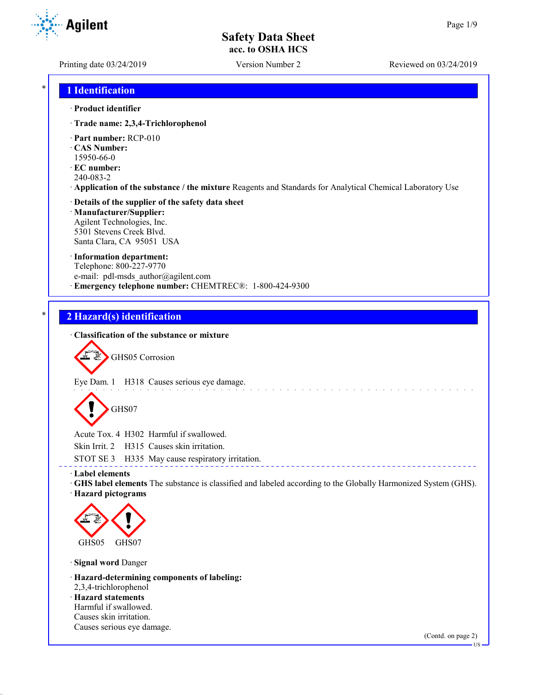**Agilent** 

Printing date 03/24/2019 Version Number 2 Reviewed on 03/24/2019

### \* **1 Identification**

#### · **Product identifier**

- · **Trade name: 2,3,4-Trichlorophenol**
- · **Part number:** RCP-010
- · **CAS Number:** 15950-66-0
- · **EC number:**
- 240-083-2
- · **Application of the substance / the mixture** Reagents and Standards for Analytical Chemical Laboratory Use

#### · **Details of the supplier of the safety data sheet** · **Manufacturer/Supplier:** Agilent Technologies, Inc.

5301 Stevens Creek Blvd. Santa Clara, CA 95051 USA

#### · **Information department:**

Telephone: 800-227-9770 e-mail: pdl-msds author@agilent.com · **Emergency telephone number:** CHEMTREC®: 1-800-424-9300

### \* **2 Hazard(s) identification**

### · **Classification of the substance or mixture**

GHS05 Corrosion

Eye Dam. 1 H318 Causes serious eye damage.

GHS07

Acute Tox. 4 H302 Harmful if swallowed.

Skin Irrit. 2 H315 Causes skin irritation.

STOT SE 3 H335 May cause respiratory irritation.

· **Label elements**

· **GHS label elements** The substance is classified and labeled according to the Globally Harmonized System (GHS). · **Hazard pictograms**

\_\_\_\_\_\_\_\_\_\_\_\_\_\_\_\_\_\_\_\_\_\_\_\_\_\_\_\_\_\_

and and a



· **Signal word** Danger

· **Hazard-determining components of labeling:**

2,3,4-trichlorophenol

· **Hazard statements** Harmful if swallowed. Causes skin irritation. Causes serious eye damage.

(Contd. on page 2)

US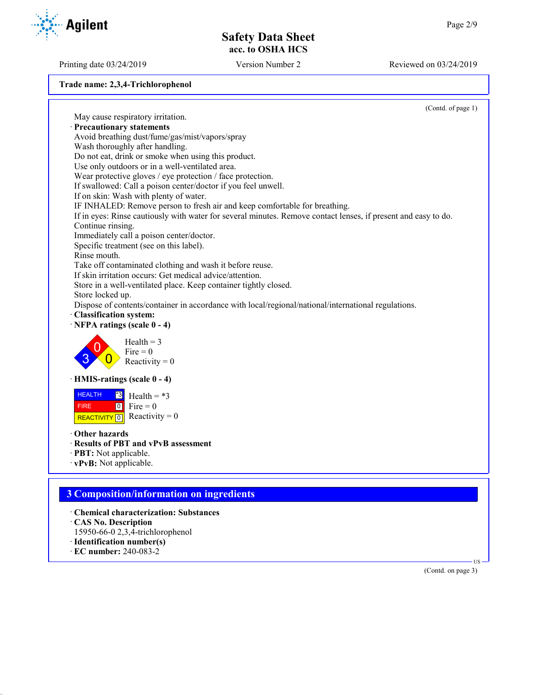Printing date 03/24/2019 Version Number 2 Reviewed on 03/24/2019

**Trade name: 2,3,4-Trichlorophenol**

|                                                                                                                | (Contd. of page 1) |
|----------------------------------------------------------------------------------------------------------------|--------------------|
| May cause respiratory irritation.                                                                              |                    |
| · Precautionary statements                                                                                     |                    |
| Avoid breathing dust/fume/gas/mist/vapors/spray                                                                |                    |
| Wash thoroughly after handling.                                                                                |                    |
| Do not eat, drink or smoke when using this product.                                                            |                    |
| Use only outdoors or in a well-ventilated area.                                                                |                    |
| Wear protective gloves / eye protection / face protection.                                                     |                    |
| If swallowed: Call a poison center/doctor if you feel unwell.                                                  |                    |
| If on skin: Wash with plenty of water.                                                                         |                    |
| IF INHALED: Remove person to fresh air and keep comfortable for breathing.                                     |                    |
| If in eyes: Rinse cautiously with water for several minutes. Remove contact lenses, if present and easy to do. |                    |
| Continue rinsing.                                                                                              |                    |
| Immediately call a poison center/doctor.                                                                       |                    |
| Specific treatment (see on this label).                                                                        |                    |
| Rinse mouth.                                                                                                   |                    |
| Take off contaminated clothing and wash it before reuse.                                                       |                    |
| If skin irritation occurs: Get medical advice/attention.                                                       |                    |
| Store in a well-ventilated place. Keep container tightly closed.                                               |                    |
| Store locked up.                                                                                               |                    |
| Dispose of contents/container in accordance with local/regional/national/international regulations.            |                    |
| · Classification system:<br>$\cdot$ NFPA ratings (scale 0 - 4)                                                 |                    |
| Health $=$ 3<br>$Fire = 0$<br>Reactivity = $0$                                                                 |                    |
| · HMIS-ratings (scale 0 - 4)                                                                                   |                    |
| <b>HEALTH</b><br>$^*3$<br>Health = $*3$                                                                        |                    |
| $\begin{bmatrix} 0 \\ 0 \end{bmatrix}$ Fire = 0<br><b>FIRE</b>                                                 |                    |
| REACTIVITY 0 Reactivity = 0                                                                                    |                    |
|                                                                                                                |                    |
| Other hazards                                                                                                  |                    |
| · Results of PBT and vPvB assessment                                                                           |                    |
| · PBT: Not applicable.                                                                                         |                    |
| · vPvB: Not applicable.                                                                                        |                    |
|                                                                                                                |                    |
| <b>3 Composition/information on ingredients</b>                                                                |                    |
| <b>Chemical characterization: Substances</b>                                                                   |                    |
| CAS No. Description                                                                                            |                    |
| 15950-66-0 2,3,4-trichlorophenol                                                                               |                    |
| · Identification number(s)                                                                                     |                    |
| $\cdot$ EC number: 240-083-2                                                                                   |                    |
|                                                                                                                | HS-                |
|                                                                                                                | (Contd. on page 3) |

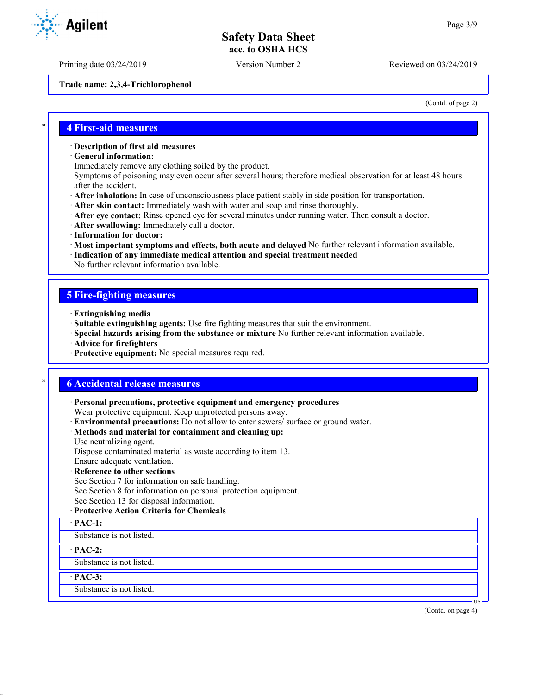Printing date 03/24/2019 Version Number 2 Reviewed on 03/24/2019

**Trade name: 2,3,4-Trichlorophenol**

(Contd. of page 2)

#### \* **4 First-aid measures**

#### · **Description of first aid measures**

- · **General information:**
- Immediately remove any clothing soiled by the product.

Symptoms of poisoning may even occur after several hours; therefore medical observation for at least 48 hours after the accident.

- · **After inhalation:** In case of unconsciousness place patient stably in side position for transportation.
- · **After skin contact:** Immediately wash with water and soap and rinse thoroughly.
- · **After eye contact:** Rinse opened eye for several minutes under running water. Then consult a doctor.
- · **After swallowing:** Immediately call a doctor.
- · **Information for doctor:**
- · **Most important symptoms and effects, both acute and delayed** No further relevant information available.
- · **Indication of any immediate medical attention and special treatment needed**
- No further relevant information available.

#### **5 Fire-fighting measures**

- · **Extinguishing media**
- · **Suitable extinguishing agents:** Use fire fighting measures that suit the environment.
- · **Special hazards arising from the substance or mixture** No further relevant information available.
- · **Advice for firefighters**
- · **Protective equipment:** No special measures required.

### \* **6 Accidental release measures**

· **Personal precautions, protective equipment and emergency procedures** Wear protective equipment. Keep unprotected persons away.

· **Environmental precautions:** Do not allow to enter sewers/ surface or ground water.

### · **Methods and material for containment and cleaning up:**

Use neutralizing agent.

Dispose contaminated material as waste according to item 13.

Ensure adequate ventilation.

### · **Reference to other sections**

See Section 7 for information on safe handling.

See Section 8 for information on personal protection equipment.

See Section 13 for disposal information.

#### · **Protective Action Criteria for Chemicals**

#### · **PAC-1:**

Substance is not listed.

· **PAC-2:**

Substance is not listed.

· **PAC-3:**

Substance is not listed.

(Contd. on page 4)

US



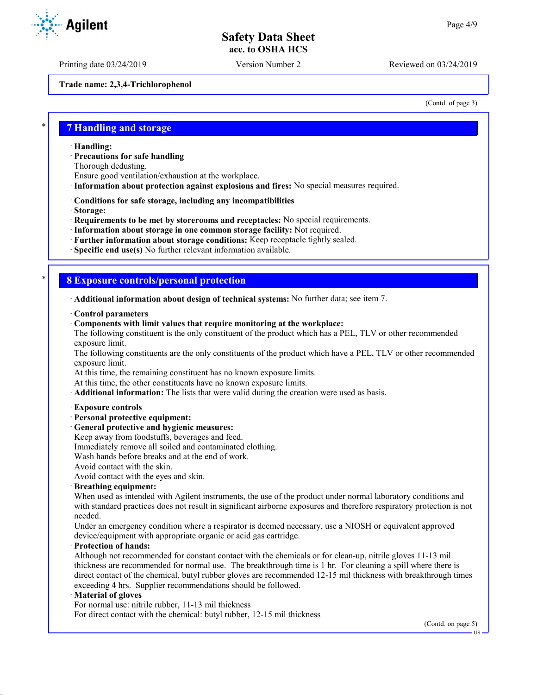Printing date 03/24/2019 Version Number 2 Reviewed on 03/24/2019

**Trade name: 2,3,4-Trichlorophenol**

(Contd. of page 3)

### \* **7 Handling and storage**

· **Handling:**

· **Precautions for safe handling**

Thorough dedusting.

Ensure good ventilation/exhaustion at the workplace.

· **Information about protection against explosions and fires:** No special measures required.

· **Conditions for safe storage, including any incompatibilities**

· **Storage:**

· **Requirements to be met by storerooms and receptacles:** No special requirements.

· **Information about storage in one common storage facility:** Not required.

· **Further information about storage conditions:** Keep receptacle tightly sealed.

· **Specific end use(s)** No further relevant information available.

### \* **8 Exposure controls/personal protection**

· **Additional information about design of technical systems:** No further data; see item 7.

· **Control parameters**

· **Components with limit values that require monitoring at the workplace:**

The following constituent is the only constituent of the product which has a PEL, TLV or other recommended exposure limit.

The following constituents are the only constituents of the product which have a PEL, TLV or other recommended exposure limit.

At this time, the remaining constituent has no known exposure limits.

At this time, the other constituents have no known exposure limits.

· **Additional information:** The lists that were valid during the creation were used as basis.

#### · **Exposure controls**

· **Personal protective equipment:**

· **General protective and hygienic measures:**

Keep away from foodstuffs, beverages and feed.

Immediately remove all soiled and contaminated clothing.

Wash hands before breaks and at the end of work.

Avoid contact with the skin.

Avoid contact with the eyes and skin.

#### · **Breathing equipment:**

When used as intended with Agilent instruments, the use of the product under normal laboratory conditions and with standard practices does not result in significant airborne exposures and therefore respiratory protection is not needed.

Under an emergency condition where a respirator is deemed necessary, use a NIOSH or equivalent approved device/equipment with appropriate organic or acid gas cartridge.

#### · **Protection of hands:**

Although not recommended for constant contact with the chemicals or for clean-up, nitrile gloves 11-13 mil thickness are recommended for normal use. The breakthrough time is 1 hr. For cleaning a spill where there is direct contact of the chemical, butyl rubber gloves are recommended 12-15 mil thickness with breakthrough times exceeding 4 hrs. Supplier recommendations should be followed.

#### · **Material of gloves**

For normal use: nitrile rubber, 11-13 mil thickness

For direct contact with the chemical: butyl rubber, 12-15 mil thickness

(Contd. on page 5)

US



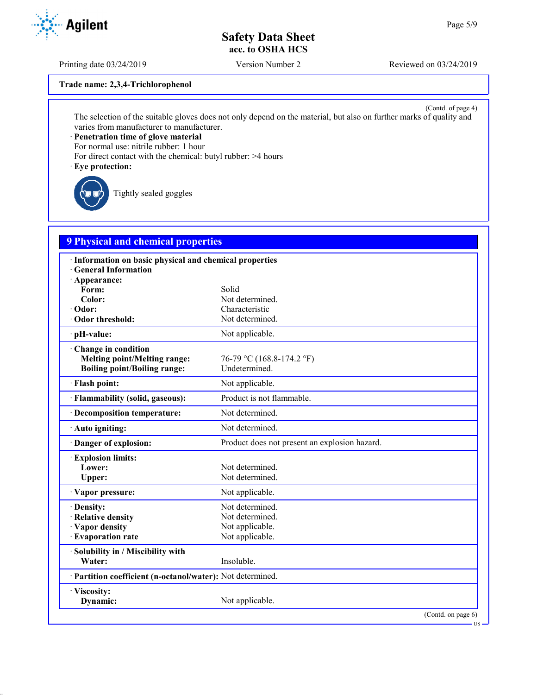Printing date 03/24/2019 Version Number 2 Reviewed on 03/24/2019

**Trade name: 2,3,4-Trichlorophenol**

(Contd. of page 4) The selection of the suitable gloves does not only depend on the material, but also on further marks of quality and varies from manufacturer to manufacturer.

· **Penetration time of glove material**

For normal use: nitrile rubber: 1 hour

For direct contact with the chemical: butyl rubber: >4 hours

· **Eye protection:**

Tightly sealed goggles

## **9 Physical and chemical properties**

| · Information on basic physical and chemical properties<br><b>General Information</b> |                                               |
|---------------------------------------------------------------------------------------|-----------------------------------------------|
| $\cdot$ Appearance:                                                                   |                                               |
| Form:                                                                                 | Solid                                         |
| Color:                                                                                | Not determined.                               |
| · Odor:                                                                               | Characteristic                                |
| · Odor threshold:                                                                     | Not determined.                               |
| · pH-value:                                                                           | Not applicable.                               |
| Change in condition                                                                   |                                               |
| <b>Melting point/Melting range:</b>                                                   | 76-79 °C (168.8-174.2 °F)                     |
| <b>Boiling point/Boiling range:</b>                                                   | Undetermined.                                 |
| · Flash point:                                                                        | Not applicable.                               |
| · Flammability (solid, gaseous):                                                      | Product is not flammable.                     |
| · Decomposition temperature:                                                          | Not determined.                               |
| · Auto igniting:                                                                      | Not determined.                               |
| Danger of explosion:                                                                  | Product does not present an explosion hazard. |
| <b>Explosion limits:</b>                                                              |                                               |
| Lower:                                                                                | Not determined.                               |
| Upper:                                                                                | Not determined.                               |
| · Vapor pressure:                                                                     | Not applicable.                               |
| · Density:                                                                            | Not determined.                               |
| · Relative density                                                                    | Not determined.                               |
| · Vapor density                                                                       | Not applicable.                               |
| · Evaporation rate                                                                    | Not applicable.                               |
| · Solubility in / Miscibility with                                                    |                                               |
| Water:                                                                                | Insoluble.                                    |
| · Partition coefficient (n-octanol/water): Not determined.                            |                                               |
| · Viscosity:                                                                          |                                               |
| Dynamic:                                                                              | Not applicable.                               |
|                                                                                       | (Contd. on page 6)                            |



US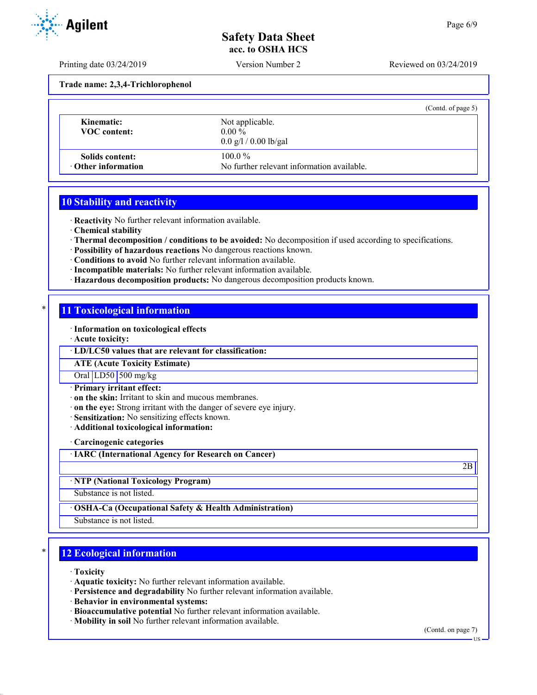Printing date 03/24/2019 Version Number 2 Reviewed on 03/24/2019

**Trade name: 2,3,4-Trichlorophenol**

|                                        | (Contd. of page 5)                                                  |  |
|----------------------------------------|---------------------------------------------------------------------|--|
| Kinematic:<br><b>VOC</b> content:      | Not applicable.<br>$0.00\%$<br>$0.0 \frac{g}{1} / 0.00 \frac{g}{g}$ |  |
| Solids content:<br>• Other information | $100.0\%$<br>No further relevant information available.             |  |

### **10 Stability and reactivity**

· **Reactivity** No further relevant information available.

· **Chemical stability**

· **Thermal decomposition / conditions to be avoided:** No decomposition if used according to specifications.

- · **Possibility of hazardous reactions** No dangerous reactions known.
- · **Conditions to avoid** No further relevant information available.
- · **Incompatible materials:** No further relevant information available.
- · **Hazardous decomposition products:** No dangerous decomposition products known.

### **11 Toxicological information**

· **Information on toxicological effects**

· **Acute toxicity:**

· **LD/LC50 values that are relevant for classification:**

**ATE (Acute Toxicity Estimate)**

Oral LD50 500 mg/kg

· **Primary irritant effect:**

· **on the skin:** Irritant to skin and mucous membranes.

· **on the eye:** Strong irritant with the danger of severe eye injury.

· **Sensitization:** No sensitizing effects known.

· **Additional toxicological information:**

· **Carcinogenic categories**

· **IARC (International Agency for Research on Cancer)**

· **NTP (National Toxicology Program)**

Substance is not listed.

· **OSHA-Ca (Occupational Safety & Health Administration)**

Substance is not listed.

## **12 Ecological information**

· **Toxicity**

· **Aquatic toxicity:** No further relevant information available.

- · **Persistence and degradability** No further relevant information available.
- · **Behavior in environmental systems:**
- · **Bioaccumulative potential** No further relevant information available.
- · **Mobility in soil** No further relevant information available.

(Contd. on page 7)

2B



US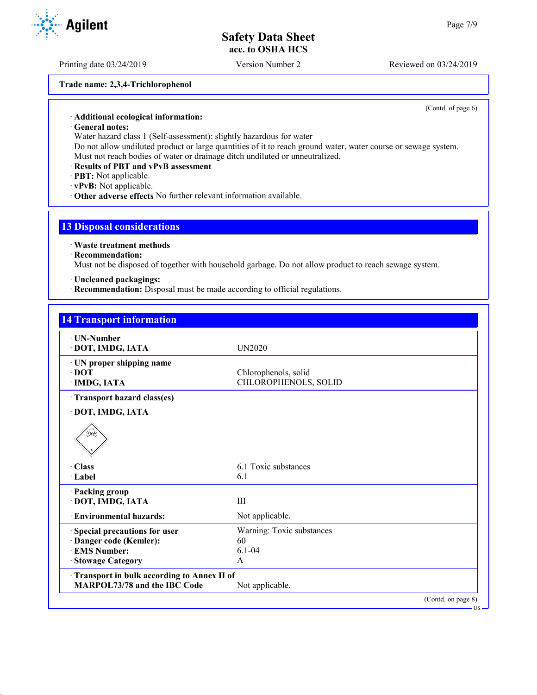Printing date 03/24/2019 Version Number 2 Reviewed on 03/24/2019

**Trade name: 2,3,4-Trichlorophenol**

(Contd. of page 6)

#### · **Additional ecological information:**

· **General notes:**

Water hazard class 1 (Self-assessment): slightly hazardous for water

Do not allow undiluted product or large quantities of it to reach ground water, water course or sewage system. Must not reach bodies of water or drainage ditch undiluted or unneutralized.

#### · **Results of PBT and vPvB assessment**

- · **PBT:** Not applicable.
- · **vPvB:** Not applicable.
- · **Other adverse effects** No further relevant information available.

### **13 Disposal considerations**

#### · **Waste treatment methods**

#### · **Recommendation:**

Must not be disposed of together with household garbage. Do not allow product to reach sewage system.

### · **Uncleaned packagings:**

· **Recommendation:** Disposal must be made according to official regulations.

| · UN-Number                                |                           |  |
|--------------------------------------------|---------------------------|--|
| · DOT, IMDG, IATA                          | UN2020                    |  |
| · UN proper shipping name                  |                           |  |
| $\cdot$ DOT                                | Chlorophenols, solid      |  |
| · IMDG, IATA                               | CHLOROPHENOLS, SOLID      |  |
| Transport hazard class(es)                 |                           |  |
| · DOT, IMDG, IATA                          |                           |  |
| ≸≷                                         |                           |  |
| · Class                                    | 6.1 Toxic substances      |  |
| $\cdot$ Label                              | 6.1                       |  |
| · Packing group                            |                           |  |
| · DOT, IMDG, IATA                          | Ш                         |  |
| · Environmental hazards:                   | Not applicable.           |  |
| Special precautions for user               | Warning: Toxic substances |  |
| · Danger code (Kemler):                    | 60                        |  |
| <b>EMS Number:</b>                         | $6.1 - 04$                |  |
| <b>Stowage Category</b>                    | A                         |  |
| Transport in bulk according to Annex II of |                           |  |
| MARPOL73/78 and the IBC Code               | Not applicable.           |  |

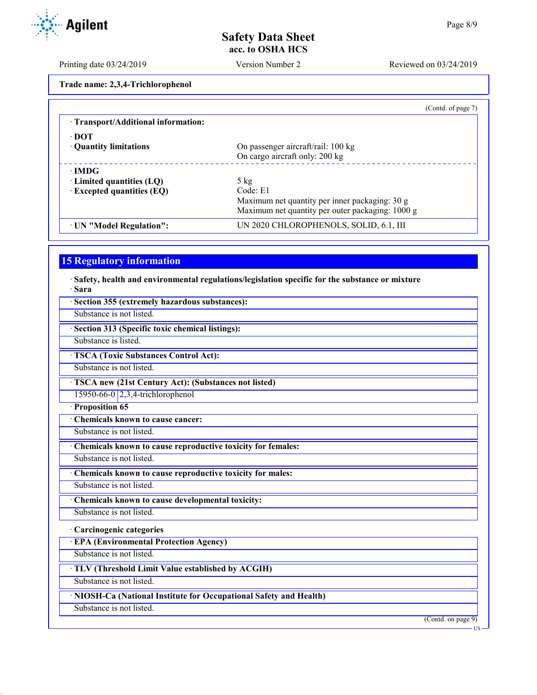Printing date 03/24/2019 Version Number 2 Reviewed on 03/24/2019

**Trade name: 2,3,4-Trichlorophenol**

| (Contd. of page 7)                               |
|--------------------------------------------------|
|                                                  |
|                                                  |
| On passenger aircraft/rail: 100 kg               |
| On cargo aircraft only: 200 kg                   |
|                                                  |
| $5 \text{ kg}$                                   |
| Code: E1                                         |
| Maximum net quantity per inner packaging: 30 g   |
| Maximum net quantity per outer packaging: 1000 g |
| UN 2020 CHLOROPHENOLS, SOLID, 6.1, III           |
|                                                  |

## **15 Regulatory information**

· **Safety, health and environmental regulations/legislation specific for the substance or mixture** · **Sara**

| Substance is not listed.                                           |                                                  |
|--------------------------------------------------------------------|--------------------------------------------------|
|                                                                    |                                                  |
| · Section 313 (Specific toxic chemical listings):                  |                                                  |
| Substance is listed.                                               |                                                  |
| <b>TSCA (Toxic Substances Control Act):</b>                        |                                                  |
| Substance is not listed.                                           |                                                  |
| · TSCA new (21st Century Act): (Substances not listed)             |                                                  |
| 15950-66-0 2,3,4-trichlorophenol                                   |                                                  |
| Proposition 65                                                     |                                                  |
| Chemicals known to cause cancer:                                   |                                                  |
| Substance is not listed.                                           |                                                  |
| Chemicals known to cause reproductive toxicity for females:        |                                                  |
| Substance is not listed.                                           |                                                  |
| Chemicals known to cause reproductive toxicity for males:          |                                                  |
| Substance is not listed.                                           |                                                  |
| Chemicals known to cause developmental toxicity:                   |                                                  |
| Substance is not listed.                                           |                                                  |
| · Carcinogenic categories                                          |                                                  |
| <b>EPA (Environmental Protection Agency)</b>                       |                                                  |
| Substance is not listed.                                           |                                                  |
| TLV (Threshold Limit Value established by ACGIH)                   |                                                  |
| Substance is not listed.                                           |                                                  |
| · NIOSH-Ca (National Institute for Occupational Safety and Health) |                                                  |
| Substance is not listed.                                           |                                                  |
|                                                                    | $\overline{(\text{Contd. on page 9})}$<br>$US -$ |